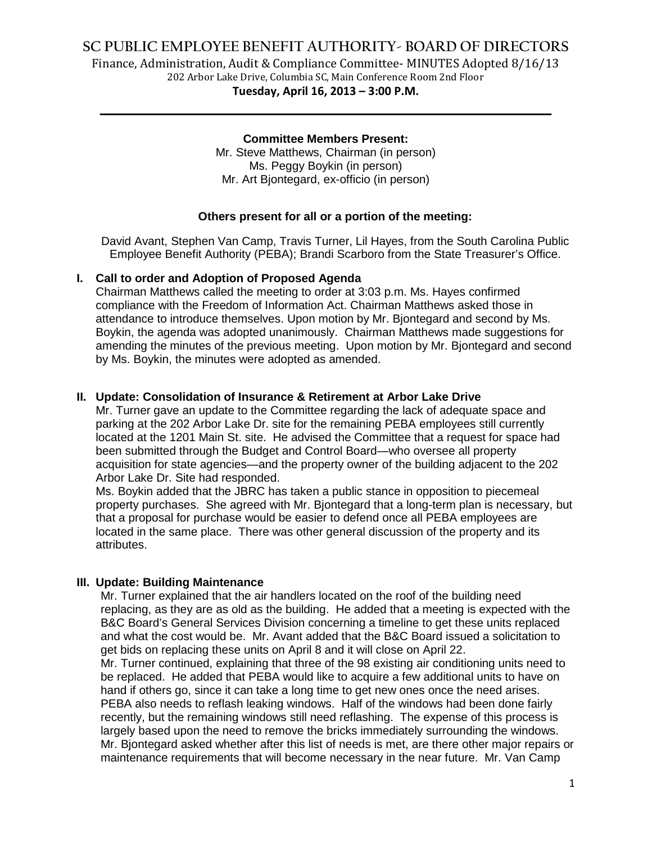Finance, Administration, Audit & Compliance Committee- MINUTES Adopted 8/16/13

202 Arbor Lake Drive, Columbia SC, Main Conference Room 2nd Floor

**Tuesday, April 16, 2013 – 3:00 P.M. \_\_\_\_\_\_\_\_\_\_\_\_\_\_\_\_\_\_\_\_\_\_\_\_\_\_\_\_\_\_\_\_\_\_\_\_\_\_\_\_\_\_\_\_\_\_\_\_\_\_\_\_\_\_\_\_\_\_\_\_\_\_\_\_\_\_\_\_\_\_\_**

#### **Committee Members Present:**

Mr. Steve Matthews, Chairman (in person) Ms. Peggy Boykin (in person) Mr. Art Bjontegard, ex-officio (in person)

### **Others present for all or a portion of the meeting:**

David Avant, Stephen Van Camp, Travis Turner, Lil Hayes, from the South Carolina Public Employee Benefit Authority (PEBA); Brandi Scarboro from the State Treasurer's Office.

## **I. Call to order and Adoption of Proposed Agenda**

Chairman Matthews called the meeting to order at 3:03 p.m. Ms. Hayes confirmed compliance with the Freedom of Information Act. Chairman Matthews asked those in attendance to introduce themselves. Upon motion by Mr. Bjontegard and second by Ms. Boykin, the agenda was adopted unanimously. Chairman Matthews made suggestions for amending the minutes of the previous meeting. Upon motion by Mr. Bjontegard and second by Ms. Boykin, the minutes were adopted as amended.

### **II. Update: Consolidation of Insurance & Retirement at Arbor Lake Drive**

Mr. Turner gave an update to the Committee regarding the lack of adequate space and parking at the 202 Arbor Lake Dr. site for the remaining PEBA employees still currently located at the 1201 Main St. site. He advised the Committee that a request for space had been submitted through the Budget and Control Board—who oversee all property acquisition for state agencies—and the property owner of the building adjacent to the 202 Arbor Lake Dr. Site had responded.

Ms. Boykin added that the JBRC has taken a public stance in opposition to piecemeal property purchases. She agreed with Mr. Bjontegard that a long-term plan is necessary, but that a proposal for purchase would be easier to defend once all PEBA employees are located in the same place. There was other general discussion of the property and its attributes.

### **III. Update: Building Maintenance**

Mr. Turner explained that the air handlers located on the roof of the building need replacing, as they are as old as the building. He added that a meeting is expected with the B&C Board's General Services Division concerning a timeline to get these units replaced and what the cost would be. Mr. Avant added that the B&C Board issued a solicitation to get bids on replacing these units on April 8 and it will close on April 22.

Mr. Turner continued, explaining that three of the 98 existing air conditioning units need to be replaced. He added that PEBA would like to acquire a few additional units to have on hand if others go, since it can take a long time to get new ones once the need arises. PEBA also needs to reflash leaking windows. Half of the windows had been done fairly recently, but the remaining windows still need reflashing. The expense of this process is largely based upon the need to remove the bricks immediately surrounding the windows. Mr. Bjontegard asked whether after this list of needs is met, are there other major repairs or maintenance requirements that will become necessary in the near future. Mr. Van Camp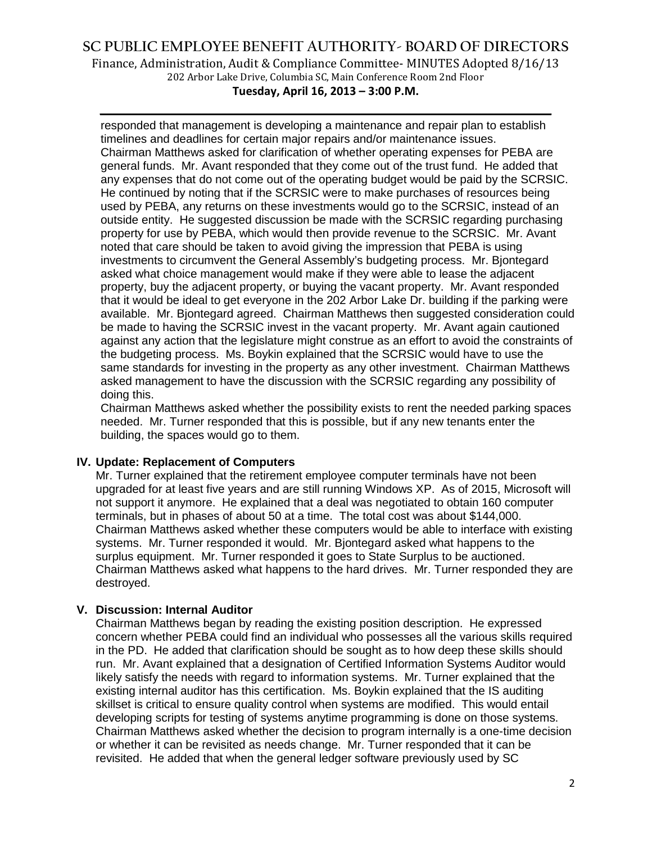# Finance, Administration, Audit & Compliance Committee- MINUTES Adopted 8/16/13 202 Arbor Lake Drive, Columbia SC, Main Conference Room 2nd Floor

**Tuesday, April 16, 2013 – 3:00 P.M. \_\_\_\_\_\_\_\_\_\_\_\_\_\_\_\_\_\_\_\_\_\_\_\_\_\_\_\_\_\_\_\_\_\_\_\_\_\_\_\_\_\_\_\_\_\_\_\_\_\_\_\_\_\_\_\_\_\_\_\_\_\_\_\_\_\_\_\_\_\_\_**

responded that management is developing a maintenance and repair plan to establish timelines and deadlines for certain major repairs and/or maintenance issues. Chairman Matthews asked for clarification of whether operating expenses for PEBA are general funds. Mr. Avant responded that they come out of the trust fund. He added that any expenses that do not come out of the operating budget would be paid by the SCRSIC. He continued by noting that if the SCRSIC were to make purchases of resources being used by PEBA, any returns on these investments would go to the SCRSIC, instead of an outside entity. He suggested discussion be made with the SCRSIC regarding purchasing property for use by PEBA, which would then provide revenue to the SCRSIC. Mr. Avant noted that care should be taken to avoid giving the impression that PEBA is using investments to circumvent the General Assembly's budgeting process. Mr. Bjontegard asked what choice management would make if they were able to lease the adjacent property, buy the adjacent property, or buying the vacant property. Mr. Avant responded that it would be ideal to get everyone in the 202 Arbor Lake Dr. building if the parking were available. Mr. Bjontegard agreed. Chairman Matthews then suggested consideration could be made to having the SCRSIC invest in the vacant property. Mr. Avant again cautioned against any action that the legislature might construe as an effort to avoid the constraints of the budgeting process. Ms. Boykin explained that the SCRSIC would have to use the same standards for investing in the property as any other investment. Chairman Matthews asked management to have the discussion with the SCRSIC regarding any possibility of doing this.

Chairman Matthews asked whether the possibility exists to rent the needed parking spaces needed. Mr. Turner responded that this is possible, but if any new tenants enter the building, the spaces would go to them.

### **IV. Update: Replacement of Computers**

Mr. Turner explained that the retirement employee computer terminals have not been upgraded for at least five years and are still running Windows XP. As of 2015, Microsoft will not support it anymore. He explained that a deal was negotiated to obtain 160 computer terminals, but in phases of about 50 at a time. The total cost was about \$144,000. Chairman Matthews asked whether these computers would be able to interface with existing systems. Mr. Turner responded it would. Mr. Bjontegard asked what happens to the surplus equipment. Mr. Turner responded it goes to State Surplus to be auctioned. Chairman Matthews asked what happens to the hard drives. Mr. Turner responded they are destroyed.

## **V. Discussion: Internal Auditor**

Chairman Matthews began by reading the existing position description. He expressed concern whether PEBA could find an individual who possesses all the various skills required in the PD. He added that clarification should be sought as to how deep these skills should run. Mr. Avant explained that a designation of Certified Information Systems Auditor would likely satisfy the needs with regard to information systems. Mr. Turner explained that the existing internal auditor has this certification. Ms. Boykin explained that the IS auditing skillset is critical to ensure quality control when systems are modified. This would entail developing scripts for testing of systems anytime programming is done on those systems. Chairman Matthews asked whether the decision to program internally is a one-time decision or whether it can be revisited as needs change. Mr. Turner responded that it can be revisited. He added that when the general ledger software previously used by SC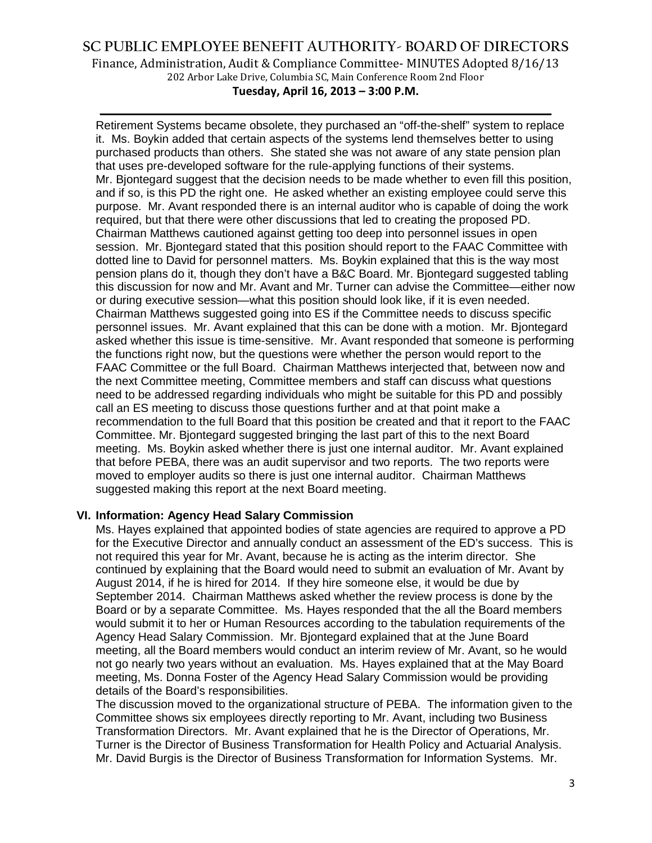## **SC PUBLIC EMPLOYEE BENEFIT AUTHORITY- BOARD OF DIRECTORS** Finance, Administration, Audit & Compliance Committee- MINUTES Adopted 8/16/13

202 Arbor Lake Drive, Columbia SC, Main Conference Room 2nd Floor

**Tuesday, April 16, 2013 – 3:00 P.M. \_\_\_\_\_\_\_\_\_\_\_\_\_\_\_\_\_\_\_\_\_\_\_\_\_\_\_\_\_\_\_\_\_\_\_\_\_\_\_\_\_\_\_\_\_\_\_\_\_\_\_\_\_\_\_\_\_\_\_\_\_\_\_\_\_\_\_\_\_\_\_**

Retirement Systems became obsolete, they purchased an "off-the-shelf" system to replace it. Ms. Boykin added that certain aspects of the systems lend themselves better to using purchased products than others. She stated she was not aware of any state pension plan that uses pre-developed software for the rule-applying functions of their systems. Mr. Bjontegard suggest that the decision needs to be made whether to even fill this position, and if so, is this PD the right one. He asked whether an existing employee could serve this purpose. Mr. Avant responded there is an internal auditor who is capable of doing the work required, but that there were other discussions that led to creating the proposed PD. Chairman Matthews cautioned against getting too deep into personnel issues in open session. Mr. Bjontegard stated that this position should report to the FAAC Committee with dotted line to David for personnel matters. Ms. Boykin explained that this is the way most pension plans do it, though they don't have a B&C Board. Mr. Bjontegard suggested tabling this discussion for now and Mr. Avant and Mr. Turner can advise the Committee—either now or during executive session—what this position should look like, if it is even needed. Chairman Matthews suggested going into ES if the Committee needs to discuss specific personnel issues. Mr. Avant explained that this can be done with a motion. Mr. Bjontegard asked whether this issue is time-sensitive. Mr. Avant responded that someone is performing the functions right now, but the questions were whether the person would report to the FAAC Committee or the full Board. Chairman Matthews interjected that, between now and the next Committee meeting, Committee members and staff can discuss what questions need to be addressed regarding individuals who might be suitable for this PD and possibly call an ES meeting to discuss those questions further and at that point make a recommendation to the full Board that this position be created and that it report to the FAAC Committee. Mr. Bjontegard suggested bringing the last part of this to the next Board meeting. Ms. Boykin asked whether there is just one internal auditor. Mr. Avant explained that before PEBA, there was an audit supervisor and two reports. The two reports were moved to employer audits so there is just one internal auditor. Chairman Matthews suggested making this report at the next Board meeting.

## **VI. Information: Agency Head Salary Commission**

Ms. Hayes explained that appointed bodies of state agencies are required to approve a PD for the Executive Director and annually conduct an assessment of the ED's success. This is not required this year for Mr. Avant, because he is acting as the interim director. She continued by explaining that the Board would need to submit an evaluation of Mr. Avant by August 2014, if he is hired for 2014. If they hire someone else, it would be due by September 2014. Chairman Matthews asked whether the review process is done by the Board or by a separate Committee. Ms. Hayes responded that the all the Board members would submit it to her or Human Resources according to the tabulation requirements of the Agency Head Salary Commission. Mr. Bjontegard explained that at the June Board meeting, all the Board members would conduct an interim review of Mr. Avant, so he would not go nearly two years without an evaluation. Ms. Hayes explained that at the May Board meeting, Ms. Donna Foster of the Agency Head Salary Commission would be providing details of the Board's responsibilities.

The discussion moved to the organizational structure of PEBA. The information given to the Committee shows six employees directly reporting to Mr. Avant, including two Business Transformation Directors. Mr. Avant explained that he is the Director of Operations, Mr. Turner is the Director of Business Transformation for Health Policy and Actuarial Analysis. Mr. David Burgis is the Director of Business Transformation for Information Systems. Mr.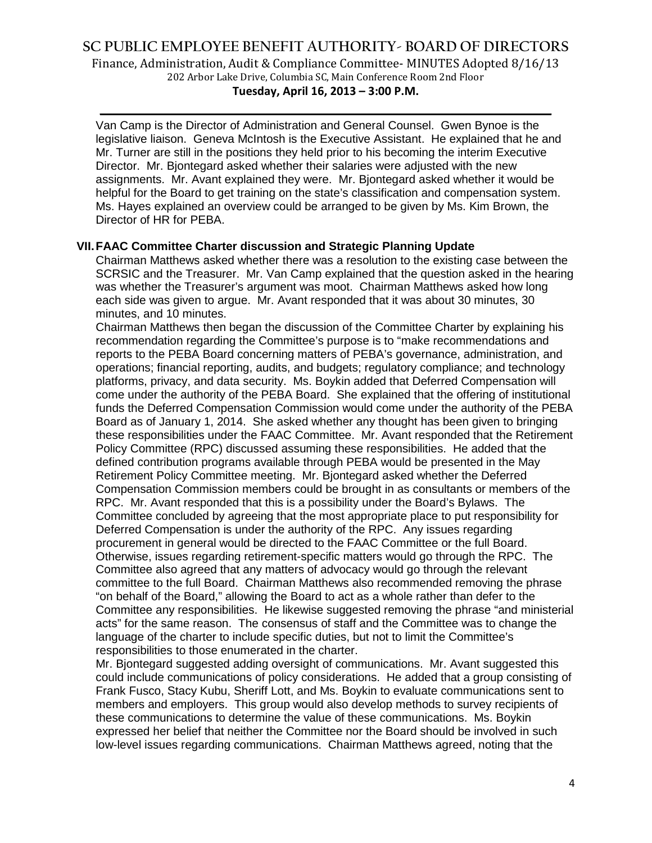Finance, Administration, Audit & Compliance Committee- MINUTES Adopted 8/16/13 202 Arbor Lake Drive, Columbia SC, Main Conference Room 2nd Floor

# **Tuesday, April 16, 2013 – 3:00 P.M. \_\_\_\_\_\_\_\_\_\_\_\_\_\_\_\_\_\_\_\_\_\_\_\_\_\_\_\_\_\_\_\_\_\_\_\_\_\_\_\_\_\_\_\_\_\_\_\_\_\_\_\_\_\_\_\_\_\_\_\_\_\_\_\_\_\_\_\_\_\_\_**

Van Camp is the Director of Administration and General Counsel. Gwen Bynoe is the legislative liaison. Geneva McIntosh is the Executive Assistant. He explained that he and Mr. Turner are still in the positions they held prior to his becoming the interim Executive Director. Mr. Bjontegard asked whether their salaries were adjusted with the new assignments. Mr. Avant explained they were. Mr. Bjontegard asked whether it would be helpful for the Board to get training on the state's classification and compensation system. Ms. Hayes explained an overview could be arranged to be given by Ms. Kim Brown, the Director of HR for PEBA.

## **VII.FAAC Committee Charter discussion and Strategic Planning Update**

Chairman Matthews asked whether there was a resolution to the existing case between the SCRSIC and the Treasurer. Mr. Van Camp explained that the question asked in the hearing was whether the Treasurer's argument was moot. Chairman Matthews asked how long each side was given to argue. Mr. Avant responded that it was about 30 minutes, 30 minutes, and 10 minutes.

Chairman Matthews then began the discussion of the Committee Charter by explaining his recommendation regarding the Committee's purpose is to "make recommendations and reports to the PEBA Board concerning matters of PEBA's governance, administration, and operations; financial reporting, audits, and budgets; regulatory compliance; and technology platforms, privacy, and data security. Ms. Boykin added that Deferred Compensation will come under the authority of the PEBA Board. She explained that the offering of institutional funds the Deferred Compensation Commission would come under the authority of the PEBA Board as of January 1, 2014. She asked whether any thought has been given to bringing these responsibilities under the FAAC Committee. Mr. Avant responded that the Retirement Policy Committee (RPC) discussed assuming these responsibilities. He added that the defined contribution programs available through PEBA would be presented in the May Retirement Policy Committee meeting. Mr. Bjontegard asked whether the Deferred Compensation Commission members could be brought in as consultants or members of the RPC. Mr. Avant responded that this is a possibility under the Board's Bylaws. The Committee concluded by agreeing that the most appropriate place to put responsibility for Deferred Compensation is under the authority of the RPC. Any issues regarding procurement in general would be directed to the FAAC Committee or the full Board. Otherwise, issues regarding retirement-specific matters would go through the RPC. The Committee also agreed that any matters of advocacy would go through the relevant committee to the full Board. Chairman Matthews also recommended removing the phrase "on behalf of the Board," allowing the Board to act as a whole rather than defer to the Committee any responsibilities. He likewise suggested removing the phrase "and ministerial acts" for the same reason. The consensus of staff and the Committee was to change the language of the charter to include specific duties, but not to limit the Committee's responsibilities to those enumerated in the charter.

Mr. Bjontegard suggested adding oversight of communications. Mr. Avant suggested this could include communications of policy considerations. He added that a group consisting of Frank Fusco, Stacy Kubu, Sheriff Lott, and Ms. Boykin to evaluate communications sent to members and employers. This group would also develop methods to survey recipients of these communications to determine the value of these communications. Ms. Boykin expressed her belief that neither the Committee nor the Board should be involved in such low-level issues regarding communications. Chairman Matthews agreed, noting that the